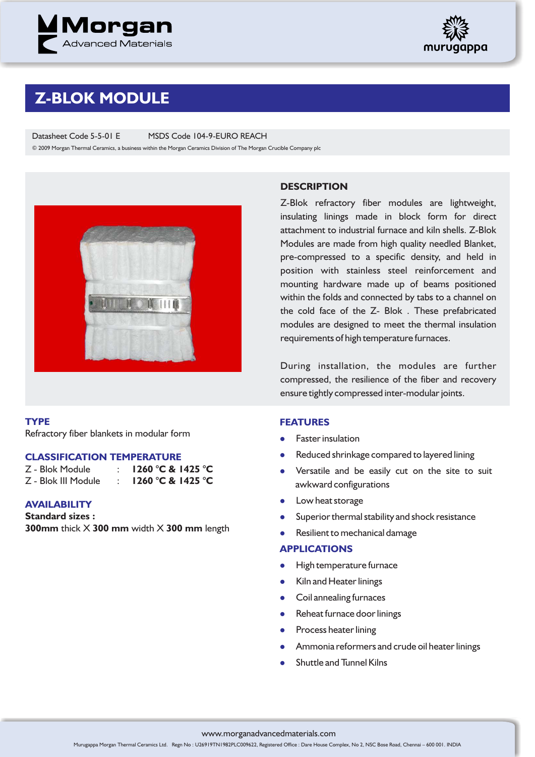



## **Z-BLOK MODULE**

Datasheet Code 5-5-01 E MSDS Code 104-9-EURO REACH

© 2009 Morgan Thermal Ceramics, a business within the Morgan Ceramics Division of The Morgan Crucible Company plc



#### **TYPE**

Refractory fiber blankets in modular form

#### **CLASSIFICATION TEMPERATURE**

- Z Blok Module : **1260 °C & 1425 °C** Z - Blok III Module : **1260 °C & 1425 °C**
- **AVAILABILITY**
- **Standard sizes :**

**300mm** thick X **300 mm** width X **300 mm** length

### **DESCRIPTION**

Z-Blok refractory fiber modules are lightweight, insulating linings made in block form for direct attachment to industrial furnace and kiln shells. Z-Blok Modules are made from high quality needled Blanket, pre-compressed to a specific density, and held in position with stainless steel reinforcement and mounting hardware made up of beams positioned within the folds and connected by tabs to a channel on the cold face of the Z- Blok . These prefabricated modules are designed to meet the thermal insulation requirements of high temperature furnaces.

During installation, the modules are further compressed, the resilience of the fiber and recovery ensure tightly compressed inter-modular joints.

#### **FEATURES**

- **•** Faster insulation
- l Reduced shrinkage compared to layered lining
- Versatile and be easily cut on the site to suit awkward configurations
- **•** Low heat storage
- l Superior thermal stability and shock resistance
- **la** Resilient to mechanical damage

#### **APPLICATIONS**

- l High temperature furnace
- $\bullet$ Kiln and Heater linings
- **•** Coil annealing furnaces
- Reheat furnace door linings
- Process heater lining
- **•** Ammonia reformers and crude oil heater linings
- l Shuttle and Tunnel Kilns

www.morganadvancedmaterials.com